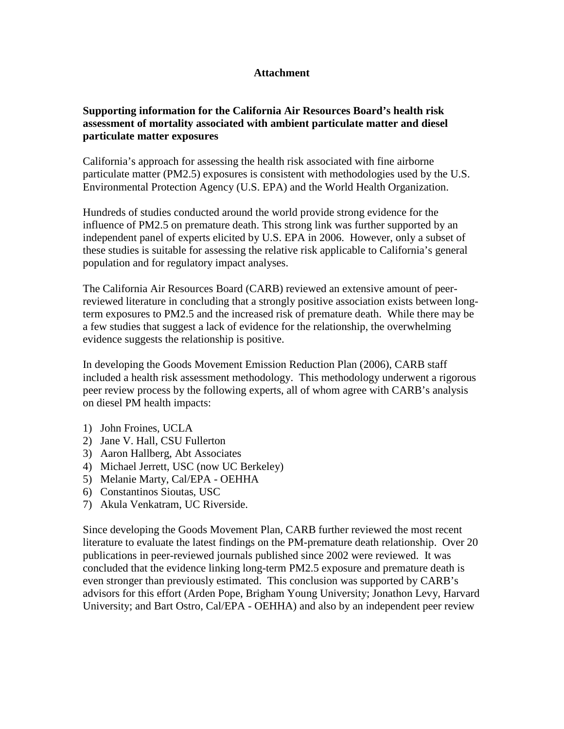## **Attachment**

## **Supporting information for the California Air Resources Board's health risk assessment of mortality associated with ambient particulate matter and diesel particulate matter exposures**

California's approach for assessing the health risk associated with fine airborne particulate matter (PM2.5) exposures is consistent with methodologies used by the U.S. Environmental Protection Agency (U.S. EPA) and the World Health Organization.

Hundreds of studies conducted around the world provide strong evidence for the influence of PM2.5 on premature death. This strong link was further supported by an independent panel of experts elicited by U.S. EPA in 2006. However, only a subset of these studies is suitable for assessing the relative risk applicable to California's general population and for regulatory impact analyses.

The California Air Resources Board (CARB) reviewed an extensive amount of peerreviewed literature in concluding that a strongly positive association exists between longterm exposures to PM2.5 and the increased risk of premature death. While there may be a few studies that suggest a lack of evidence for the relationship, the overwhelming evidence suggests the relationship is positive.

In developing the Goods Movement Emission Reduction Plan (2006), CARB staff included a health risk assessment methodology. This methodology underwent a rigorous peer review process by the following experts, all of whom agree with CARB's analysis on diesel PM health impacts:

- 1) John Froines, UCLA
- 2) Jane V. Hall, CSU Fullerton
- 3) Aaron Hallberg, Abt Associates
- 4) Michael Jerrett, USC (now UC Berkeley)
- 5) Melanie Marty, Cal/EPA OEHHA
- 6) Constantinos Sioutas, USC
- 7) Akula Venkatram, UC Riverside.

Since developing the Goods Movement Plan, CARB further reviewed the most recent literature to evaluate the latest findings on the PM-premature death relationship. Over 20 publications in peer-reviewed journals published since 2002 were reviewed. It was concluded that the evidence linking long-term PM2.5 exposure and premature death is even stronger than previously estimated. This conclusion was supported by CARB's advisors for this effort (Arden Pope, Brigham Young University; Jonathon Levy, Harvard University; and Bart Ostro, Cal/EPA - OEHHA) and also by an independent peer review